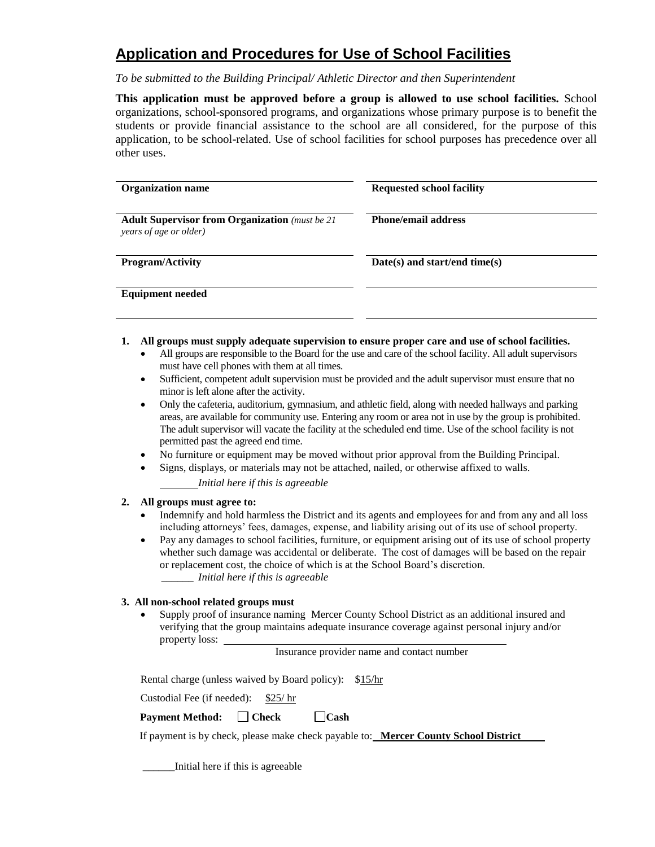# **Application and Procedures for Use of School Facilities**

*To be submitted to the Building Principal/ Athletic Director and then Superintendent*

**This application must be approved before a group is allowed to use school facilities.** School organizations, school-sponsored programs, and organizations whose primary purpose is to benefit the students or provide financial assistance to the school are all considered, for the purpose of this application, to be school-related. Use of school facilities for school purposes has precedence over all other uses.

| <b>Organization name</b>                                                         | <b>Requested school facility</b> |  |  |
|----------------------------------------------------------------------------------|----------------------------------|--|--|
| <b>Adult Supervisor from Organization</b> (must be 21)<br>years of age or older) | <b>Phone/email address</b>       |  |  |
| <b>Program/Activity</b>                                                          | Date(s) and start/end time(s)    |  |  |
| <b>Equipment needed</b>                                                          |                                  |  |  |

- **1. All groups must supply adequate supervision to ensure proper care and use of school facilities.**
	- All groups are responsible to the Board for the use and care of the school facility. All adult supervisors must have cell phones with them at all times.
	- Sufficient, competent adult supervision must be provided and the adult supervisor must ensure that no minor is left alone after the activity.
	- Only the cafeteria, auditorium, gymnasium, and athletic field, along with needed hallways and parking areas, are available for community use. Entering any room or area not in use by the group is prohibited. The adult supervisor will vacate the facility at the scheduled end time. Use of the school facility is not permitted past the agreed end time.
	- No furniture or equipment may be moved without prior approval from the Building Principal.
	- Signs, displays, or materials may not be attached, nailed, or otherwise affixed to walls.

*Initial here if this is agreeable*

#### **2. All groups must agree to:**

- Indemnify and hold harmless the District and its agents and employees for and from any and all loss including attorneys' fees, damages, expense, and liability arising out of its use of school property.
- Pay any damages to school facilities, furniture, or equipment arising out of its use of school property whether such damage was accidental or deliberate. The cost of damages will be based on the repair or replacement cost, the choice of which is at the School Board's discretion.  *\_\_\_\_\_\_ Initial here if this is agreeable*

#### **3. All non-school related groups must**

 Supply proof of insurance naming Mercer County School District as an additional insured and verifying that the group maintains adequate insurance coverage against personal injury and/or property loss:

Insurance provider name and contact number

Rental charge (unless waived by Board policy): \$15/hr

Custodial Fee (if needed): \$25/ hr

**Payment Method:** Check Cash

If payment is by check, please make check payable to: **Mercer County School District**

\_\_\_\_\_\_Initial here if this is agreeable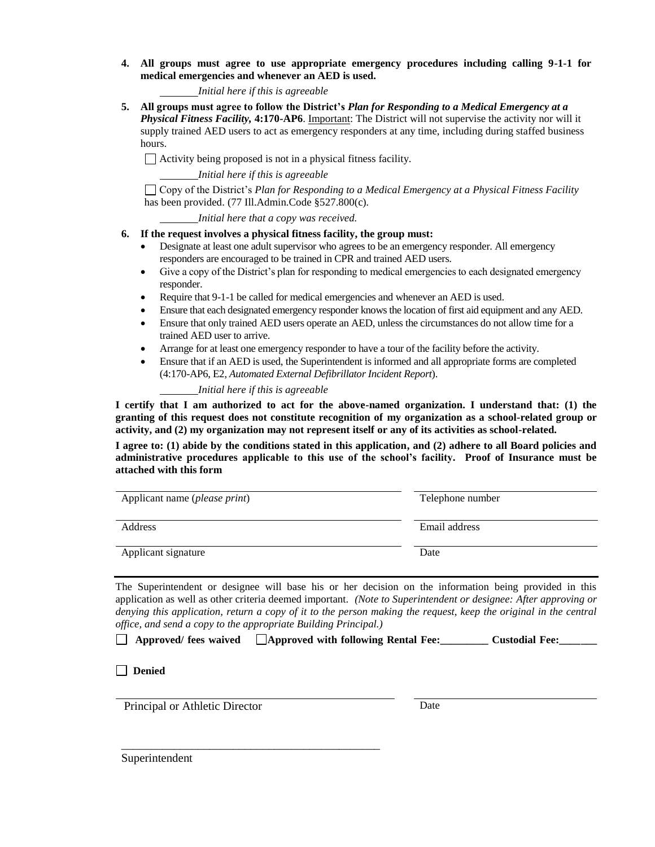**4. All groups must agree to use appropriate emergency procedures including calling 9-1-1 for medical emergencies and whenever an AED is used.**

#### *Initial here if this is agreeable*

**5. All groups must agree to follow the District's** *Plan for Responding to a Medical Emergency at a Physical Fitness Facility,* **4:170-AP6**. Important: The District will not supervise the activity nor will it supply trained AED users to act as emergency responders at any time, including during staffed business hours.

Activity being proposed is not in a physical fitness facility.

*Initial here if this is agreeable*

Copy of the District's *Plan for Responding to a Medical Emergency at a Physical Fitness Facility*  has been provided. (77 Ill.Admin.Code §527.800(c)*.*

*Initial here that a copy was received.*

#### **6. If the request involves a physical fitness facility, the group must:**

- Designate at least one adult supervisor who agrees to be an emergency responder. All emergency responders are encouraged to be trained in CPR and trained AED users.
- Give a copy of the District's plan for responding to medical emergencies to each designated emergency responder.
- Require that 9-1-1 be called for medical emergencies and whenever an AED is used.
- Ensure that each designated emergency responder knows the location of first aid equipment and any AED.
- Ensure that only trained AED users operate an AED, unless the circumstances do not allow time for a trained AED user to arrive.
- Arrange for at least one emergency responder to have a tour of the facility before the activity.
- Ensure that if an AED is used, the Superintendent is informed and all appropriate forms are completed (4:170-AP6, E2, *Automated External Defibrillator Incident Report*).

#### *Initial here if this is agreeable*

**I certify that I am authorized to act for the above-named organization. I understand that: (1) the granting of this request does not constitute recognition of my organization as a school-related group or activity, and (2) my organization may not represent itself or any of its activities as school-related.**

**I agree to: (1) abide by the conditions stated in this application, and (2) adhere to all Board policies and administrative procedures applicable to this use of the school's facility. Proof of Insurance must be attached with this form**

| Applicant name ( <i>please print</i> ) | Telephone number |
|----------------------------------------|------------------|
| Address                                | Email address    |
| Applicant signature                    | Date             |

The Superintendent or designee will base his or her decision on the information being provided in this application as well as other criteria deemed important. *(Note to Superintendent or designee: After approving or*  denying this application, return a copy of it to the person making the request, keep the original in the central *office, and send a copy to the appropriate Building Principal.)*

|  |  | □ Approved/ fees waived □ Approved with following Rental Fee: |  |  | <b>Custodial Fee:</b> |  |
|--|--|---------------------------------------------------------------|--|--|-----------------------|--|
|--|--|---------------------------------------------------------------|--|--|-----------------------|--|

### **Denied**

Principal or Athletic Director

\_\_\_\_\_\_\_\_\_\_\_\_\_\_\_\_\_\_\_\_\_\_\_\_\_\_\_\_\_\_\_\_\_\_\_\_\_\_\_\_\_\_\_\_

Date

Superintendent